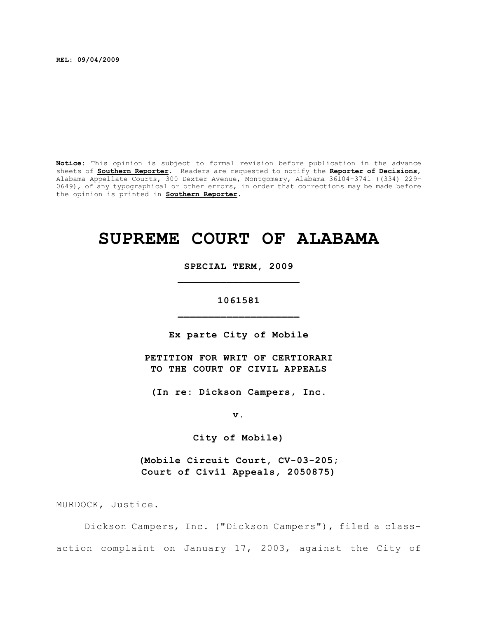**REL: 09/04/2009**

**Notice:** This opinion is subject to formal revision before publication in the advance sheets of **Southern Reporter**. Readers are requested to notify the **Reporter of Decisions**, Alabama Appellate Courts, 300 Dexter Avenue, Montgomery, Alabama 36104-3741 ((334) 229- 0649), of any typographical or other errors, in order that corrections may be made before the opinion is printed in **Southern Reporter**.

# **SUPREME COURT OF ALABAMA**

**SPECIAL TERM, 2009 \_\_\_\_\_\_\_\_\_\_\_\_\_\_\_\_\_\_\_\_**

**1061581 \_\_\_\_\_\_\_\_\_\_\_\_\_\_\_\_\_\_\_\_**

**Ex parte City of Mobile**

**PETITION FOR WRIT OF CERTIORARI TO THE COURT OF CIVIL APPEALS**

**(In re: Dickson Campers, Inc.**

**v.**

**City of Mobile)**

**(Mobile Circuit Court, CV-03-205; Court of Civil Appeals, 2050875)**

MURDOCK, Justice.

Dickson Campers, Inc. ("Dickson Campers"), filed a classaction complaint on January 17, 2003, against the City of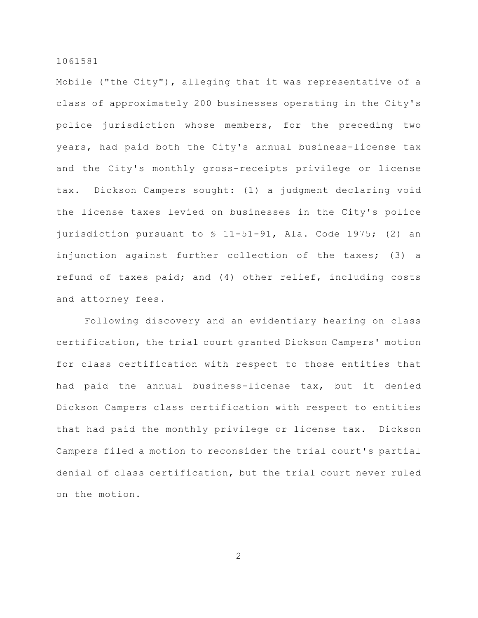Mobile ("the City"), alleging that it was representative of a class of approximately 200 businesses operating in the City's police jurisdiction whose members, for the preceding two years, had paid both the City's annual business-license tax and the City's monthly gross-receipts privilege or license tax. Dickson Campers sought: (1) a judgment declaring void the license taxes levied on businesses in the City's police jurisdiction pursuant to § 11-51-91, Ala. Code 1975; (2) an injunction against further collection of the taxes; (3) a refund of taxes paid; and (4) other relief, including costs and attorney fees.

Following discovery and an evidentiary hearing on class certification, the trial court granted Dickson Campers' motion for class certification with respect to those entities that had paid the annual business-license tax, but it denied Dickson Campers class certification with respect to entities that had paid the monthly privilege or license tax. Dickson Campers filed a motion to reconsider the trial court's partial denial of class certification, but the trial court never ruled on the motion.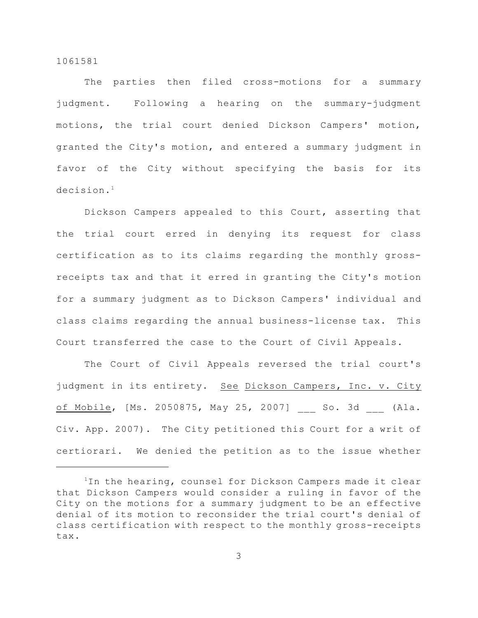The parties then filed cross-motions for a summary judgment. Following a hearing on the summary-judgment motions, the trial court denied Dickson Campers' motion, granted the City's motion, and entered a summary judgment in favor of the City without specifying the basis for its decision. 1

Dickson Campers appealed to this Court, asserting that the trial court erred in denying its request for class certification as to its claims regarding the monthly grossreceipts tax and that it erred in granting the City's motion for a summary judgment as to Dickson Campers' individual and class claims regarding the annual business-license tax. This Court transferred the case to the Court of Civil Appeals.

The Court of Civil Appeals reversed the trial court's judgment in its entirety. See Dickson Campers, Inc. v. City of Mobile, [Ms. 2050875, May 25, 2007] So. 3d (Ala. Civ. App. 2007). The City petitioned this Court for a writ of certiorari. We denied the petition as to the issue whether

 $1$ In the hearing, counsel for Dickson Campers made it clear that Dickson Campers would consider a ruling in favor of the City on the motions for a summary judgment to be an effective denial of its motion to reconsider the trial court's denial of class certification with respect to the monthly gross-receipts tax.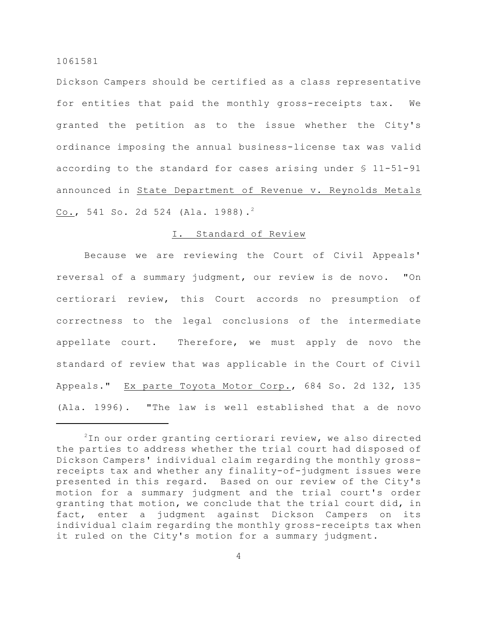Dickson Campers should be certified as a class representative for entities that paid the monthly gross-receipts tax. We granted the petition as to the issue whether the City's ordinance imposing the annual business-license tax was valid according to the standard for cases arising under § 11-51-91 announced in State Department of Revenue v. Reynolds Metals Co., 541 So. 2d 524 (Ala. 1988).<sup>2</sup>

## I. Standard of Review

Because we are reviewing the Court of Civil Appeals' reversal of a summary judgment, our review is de novo. "On certiorari review, this Court accords no presumption of correctness to the legal conclusions of the intermediate appellate court. Therefore, we must apply de novo the standard of review that was applicable in the Court of Civil Appeals." Ex parte Toyota Motor Corp., 684 So. 2d 132, 135 (Ala. 1996). "The law is well established that a de novo

 $2$ In our order granting certiorari review, we also directed the parties to address whether the trial court had disposed of Dickson Campers' individual claim regarding the monthly grossreceipts tax and whether any finality-of-judgment issues were presented in this regard. Based on our review of the City's motion for a summary judgment and the trial court's order granting that motion, we conclude that the trial court did, in fact, enter a judgment against Dickson Campers on its individual claim regarding the monthly gross-receipts tax when it ruled on the City's motion for a summary judgment.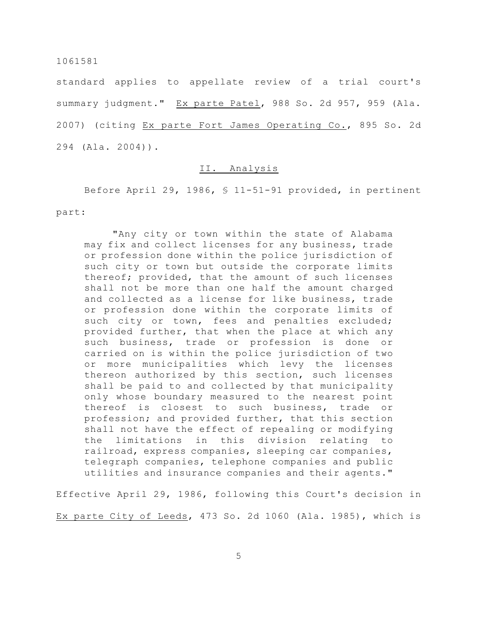standard applies to appellate review of a trial court's summary judgment." Ex parte Patel, 988 So. 2d 957, 959 (Ala. 2007) (citing Ex parte Fort James Operating Co., 895 So. 2d 294 (Ala. 2004)).

## II. Analysis

Before April 29, 1986, § 11-51-91 provided, in pertinent part:

"Any city or town within the state of Alabama may fix and collect licenses for any business, trade or profession done within the police jurisdiction of such city or town but outside the corporate limits thereof; provided, that the amount of such licenses shall not be more than one half the amount charged and collected as a license for like business, trade or profession done within the corporate limits of such city or town, fees and penalties excluded; provided further, that when the place at which any such business, trade or profession is done or carried on is within the police jurisdiction of two or more municipalities which levy the licenses thereon authorized by this section, such licenses shall be paid to and collected by that municipality only whose boundary measured to the nearest point thereof is closest to such business, trade or profession; and provided further, that this section shall not have the effect of repealing or modifying the limitations in this division relating to railroad, express companies, sleeping car companies, telegraph companies, telephone companies and public utilities and insurance companies and their agents."

Effective April 29, 1986, following this Court's decision in

Ex parte City of Leeds, 473 So. 2d 1060 (Ala. 1985), which is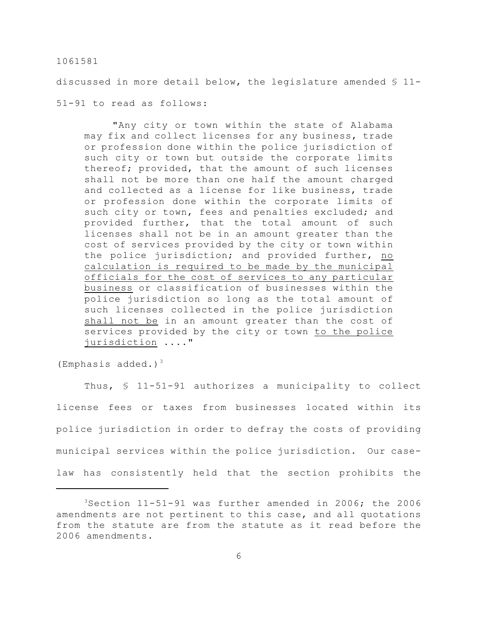discussed in more detail below, the legislature amended § 11-

51-91 to read as follows:

"Any city or town within the state of Alabama may fix and collect licenses for any business, trade or profession done within the police jurisdiction of such city or town but outside the corporate limits thereof; provided, that the amount of such licenses shall not be more than one half the amount charged and collected as a license for like business, trade or profession done within the corporate limits of such city or town, fees and penalties excluded; and provided further, that the total amount of such licenses shall not be in an amount greater than the cost of services provided by the city or town within the police jurisdiction; and provided further, no calculation is required to be made by the municipal officials for the cost of services to any particular business or classification of businesses within the police jurisdiction so long as the total amount of such licenses collected in the police jurisdiction shall not be in an amount greater than the cost of services provided by the city or town to the police jurisdiction ...."

(Emphasis added.) $3$ 

Thus, § 11-51-91 authorizes a municipality to collect license fees or taxes from businesses located within its police jurisdiction in order to defray the costs of providing municipal services within the police jurisdiction. Our caselaw has consistently held that the section prohibits the

 $3$ Section 11-51-91 was further amended in 2006; the 2006 amendments are not pertinent to this case, and all quotations from the statute are from the statute as it read before the 2006 amendments.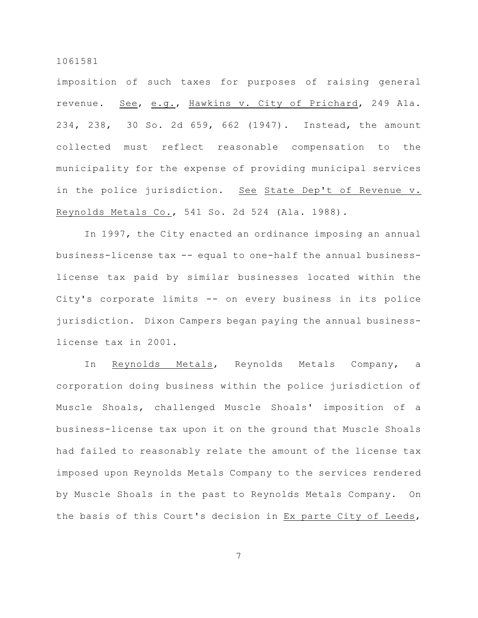imposition of such taxes for purposes of raising general revenue. See, e.g., Hawkins v. City of Prichard, 249 Ala. 234, 238, 30 So. 2d 659, 662 (1947). Instead, the amount collected must reflect reasonable compensation to the municipality for the expense of providing municipal services in the police jurisdiction. See State Dep't of Revenue v. Reynolds Metals Co., 541 So. 2d 524 (Ala. 1988).

In 1997, the City enacted an ordinance imposing an annual business-license tax -- equal to one-half the annual businesslicense tax paid by similar businesses located within the City's corporate limits -- on every business in its police jurisdiction. Dixon Campers began paying the annual businesslicense tax in 2001.

In Reynolds Metals, Reynolds Metals Company, a corporation doing business within the police jurisdiction of Muscle Shoals, challenged Muscle Shoals' imposition of a business-license tax upon it on the ground that Muscle Shoals had failed to reasonably relate the amount of the license tax imposed upon Reynolds Metals Company to the services rendered by Muscle Shoals in the past to Reynolds Metals Company. On the basis of this Court's decision in Ex parte City of Leeds,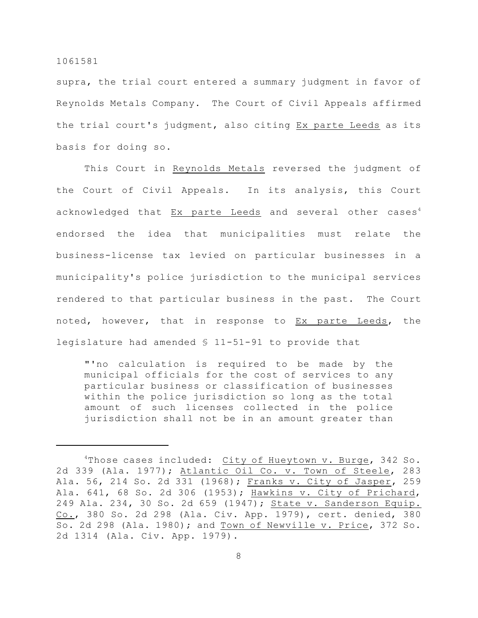supra, the trial court entered a summary judgment in favor of Reynolds Metals Company. The Court of Civil Appeals affirmed the trial court's judgment, also citing Ex parte Leeds as its basis for doing so.

This Court in Reynolds Metals reversed the judgment of the Court of Civil Appeals. In its analysis, this Court acknowledged that Ex parte Leeds and several other cases<sup>4</sup> endorsed the idea that municipalities must relate the business-license tax levied on particular businesses in a municipality's police jurisdiction to the municipal services rendered to that particular business in the past. The Court noted, however, that in response to Ex parte Leeds, the legislature had amended § 11-51-91 to provide that

"'no calculation is required to be made by the municipal officials for the cost of services to any particular business or classification of businesses within the police jurisdiction so long as the total amount of such licenses collected in the police jurisdiction shall not be in an amount greater than

<sup>&</sup>lt;sup>4</sup>Those cases included: City of Hueytown v. Burge, 342 So. 2d 339 (Ala. 1977); Atlantic Oil Co. v. Town of Steele, 283 Ala. 56, 214 So. 2d 331 (1968); Franks v. City of Jasper, 259 Ala. 641, 68 So. 2d 306 (1953); Hawkins v. City of Prichard, 249 Ala. 234, 30 So. 2d 659 (1947); State v. Sanderson Equip. Co., 380 So. 2d 298 (Ala. Civ. App. 1979), cert. denied, 380 So. 2d 298 (Ala. 1980); and Town of Newville v. Price, 372 So. 2d 1314 (Ala. Civ. App. 1979).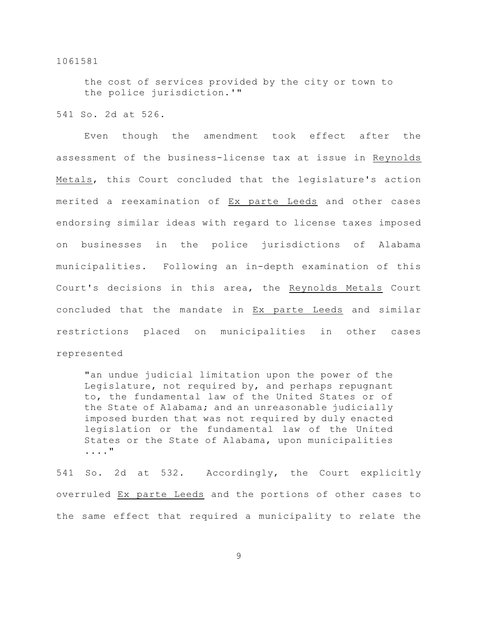the cost of services provided by the city or town to the police jurisdiction.'"

541 So. 2d at 526.

Even though the amendment took effect after the assessment of the business-license tax at issue in Reynolds Metals, this Court concluded that the legislature's action merited a reexamination of Ex parte Leeds and other cases endorsing similar ideas with regard to license taxes imposed on businesses in the police jurisdictions of Alabama municipalities. Following an in-depth examination of this Court's decisions in this area, the Reynolds Metals Court concluded that the mandate in Ex parte Leeds and similar restrictions placed on municipalities in other cases represented

"an undue judicial limitation upon the power of the Legislature, not required by, and perhaps repugnant to, the fundamental law of the United States or of the State of Alabama; and an unreasonable judicially imposed burden that was not required by duly enacted legislation or the fundamental law of the United States or the State of Alabama, upon municipalities ...."

541 So. 2d at 532. Accordingly, the Court explicitly overruled Ex parte Leeds and the portions of other cases to the same effect that required a municipality to relate the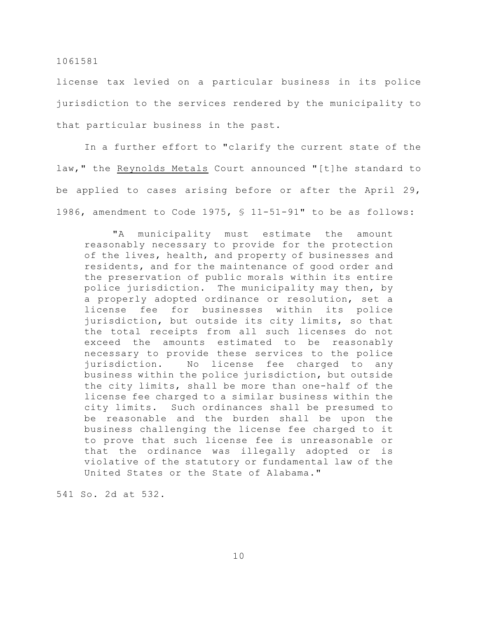license tax levied on a particular business in its police jurisdiction to the services rendered by the municipality to that particular business in the past.

In a further effort to "clarify the current state of the law," the Reynolds Metals Court announced "[t]he standard to be applied to cases arising before or after the April 29, 1986, amendment to Code 1975, § 11-51-91" to be as follows:

"A municipality must estimate the amount reasonably necessary to provide for the protection of the lives, health, and property of businesses and residents, and for the maintenance of good order and the preservation of public morals within its entire police jurisdiction. The municipality may then, by a properly adopted ordinance or resolution, set a license fee for businesses within its police jurisdiction, but outside its city limits, so that the total receipts from all such licenses do not exceed the amounts estimated to be reasonably necessary to provide these services to the police jurisdiction. No license fee charged to any business within the police jurisdiction, but outside the city limits, shall be more than one-half of the license fee charged to a similar business within the city limits. Such ordinances shall be presumed to be reasonable and the burden shall be upon the business challenging the license fee charged to it to prove that such license fee is unreasonable or that the ordinance was illegally adopted or is violative of the statutory or fundamental law of the United States or the State of Alabama."

541 So. 2d at 532.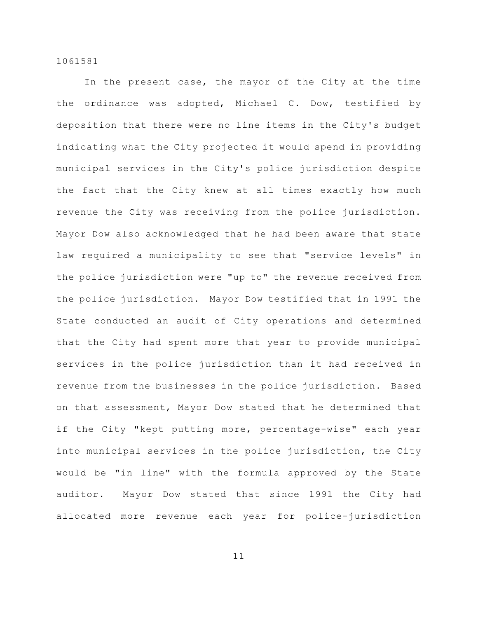In the present case, the mayor of the City at the time the ordinance was adopted, Michael C. Dow, testified by deposition that there were no line items in the City's budget indicating what the City projected it would spend in providing municipal services in the City's police jurisdiction despite the fact that the City knew at all times exactly how much revenue the City was receiving from the police jurisdiction. Mayor Dow also acknowledged that he had been aware that state law required a municipality to see that "service levels" in the police jurisdiction were "up to" the revenue received from the police jurisdiction. Mayor Dow testified that in 1991 the State conducted an audit of City operations and determined that the City had spent more that year to provide municipal services in the police jurisdiction than it had received in revenue from the businesses in the police jurisdiction. Based on that assessment, Mayor Dow stated that he determined that if the City "kept putting more, percentage-wise" each year into municipal services in the police jurisdiction, the City would be "in line" with the formula approved by the State auditor. Mayor Dow stated that since 1991 the City had allocated more revenue each year for police-jurisdiction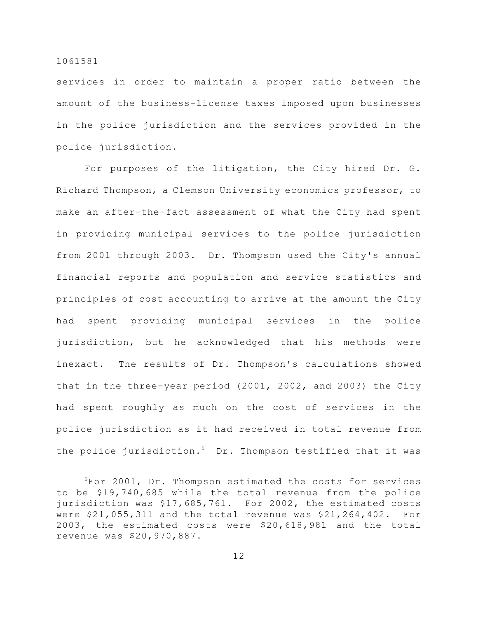services in order to maintain a proper ratio between the amount of the business-license taxes imposed upon businesses in the police jurisdiction and the services provided in the police jurisdiction.

For purposes of the litigation, the City hired Dr. G. Richard Thompson, a Clemson University economics professor, to make an after-the-fact assessment of what the City had spent in providing municipal services to the police jurisdiction from 2001 through 2003. Dr. Thompson used the City's annual financial reports and population and service statistics and principles of cost accounting to arrive at the amount the City had spent providing municipal services in the police jurisdiction, but he acknowledged that his methods were inexact. The results of Dr. Thompson's calculations showed that in the three-year period (2001, 2002, and 2003) the City had spent roughly as much on the cost of services in the police jurisdiction as it had received in total revenue from the police jurisdiction.<sup>5</sup> Dr. Thompson testified that it was

 $5$ For 2001, Dr. Thompson estimated the costs for services to be \$19,740,685 while the total revenue from the police jurisdiction was \$17,685,761. For 2002, the estimated costs were \$21,055,311 and the total revenue was \$21,264,402. For 2003, the estimated costs were \$20,618,981 and the total revenue was \$20,970,887.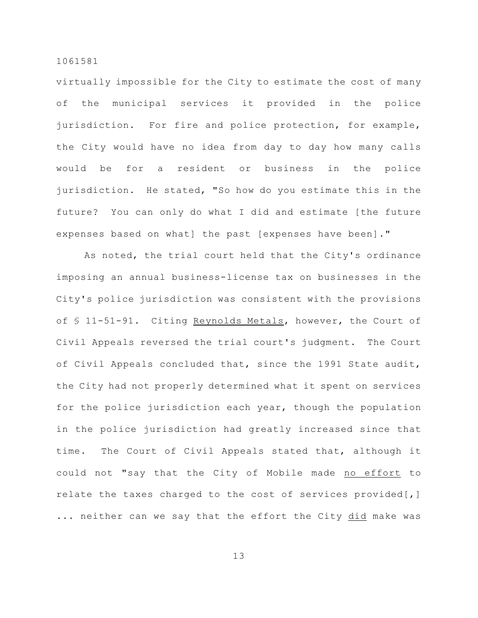virtually impossible for the City to estimate the cost of many of the municipal services it provided in the police jurisdiction. For fire and police protection, for example, the City would have no idea from day to day how many calls would be for a resident or business in the police jurisdiction. He stated, "So how do you estimate this in the future? You can only do what I did and estimate [the future expenses based on what] the past [expenses have been]."

As noted, the trial court held that the City's ordinance imposing an annual business-license tax on businesses in the City's police jurisdiction was consistent with the provisions of § 11-51-91. Citing Reynolds Metals, however, the Court of Civil Appeals reversed the trial court's judgment. The Court of Civil Appeals concluded that, since the 1991 State audit, the City had not properly determined what it spent on services for the police jurisdiction each year, though the population in the police jurisdiction had greatly increased since that time. The Court of Civil Appeals stated that, although it could not "say that the City of Mobile made no effort to relate the taxes charged to the cost of services provided[,] ... neither can we say that the effort the City did make was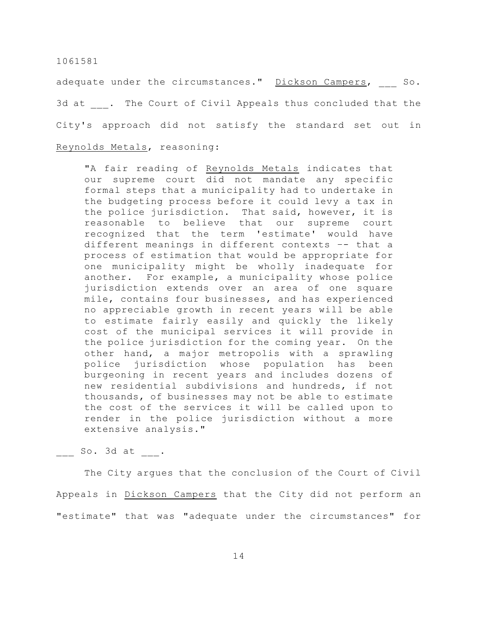adequate under the circumstances." Dickson Campers, So. 3d at . The Court of Civil Appeals thus concluded that the City's approach did not satisfy the standard set out in Reynolds Metals, reasoning:

"A fair reading of Reynolds Metals indicates that our supreme court did not mandate any specific formal steps that a municipality had to undertake in the budgeting process before it could levy a tax in the police jurisdiction. That said, however, it is reasonable to believe that our supreme court recognized that the term 'estimate' would have different meanings in different contexts –- that a process of estimation that would be appropriate for one municipality might be wholly inadequate for another. For example, a municipality whose police jurisdiction extends over an area of one square mile, contains four businesses, and has experienced no appreciable growth in recent years will be able to estimate fairly easily and quickly the likely cost of the municipal services it will provide in the police jurisdiction for the coming year. On the other hand, a major metropolis with a sprawling police jurisdiction whose population has been burgeoning in recent years and includes dozens of new residential subdivisions and hundreds, if not thousands, of businesses may not be able to estimate the cost of the services it will be called upon to render in the police jurisdiction without a more extensive analysis."

 $So. 3d at .$ 

The City argues that the conclusion of the Court of Civil Appeals in Dickson Campers that the City did not perform an "estimate" that was "adequate under the circumstances" for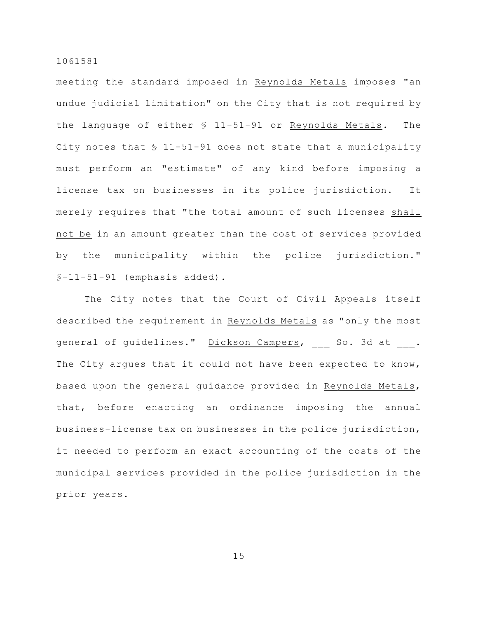meeting the standard imposed in Reynolds Metals imposes "an undue judicial limitation" on the City that is not required by the language of either § 11-51-91 or Reynolds Metals. The City notes that § 11-51-91 does not state that a municipality must perform an "estimate" of any kind before imposing a license tax on businesses in its police jurisdiction. It merely requires that "the total amount of such licenses shall not be in an amount greater than the cost of services provided by the municipality within the police jurisdiction."  $S-11-51-91$  (emphasis added).

The City notes that the Court of Civil Appeals itself described the requirement in Reynolds Metals as "only the most general of guidelines." Dickson Campers, So. 3d at . The City argues that it could not have been expected to know, based upon the general guidance provided in Reynolds Metals, that, before enacting an ordinance imposing the annual business-license tax on businesses in the police jurisdiction, it needed to perform an exact accounting of the costs of the municipal services provided in the police jurisdiction in the prior years.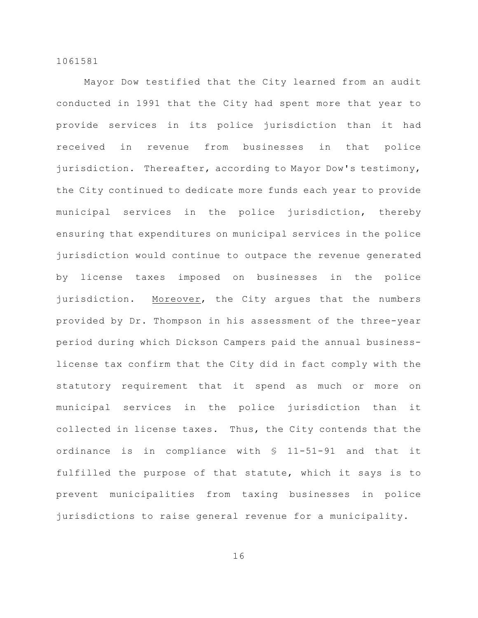Mayor Dow testified that the City learned from an audit conducted in 1991 that the City had spent more that year to provide services in its police jurisdiction than it had received in revenue from businesses in that police jurisdiction. Thereafter, according to Mayor Dow's testimony, the City continued to dedicate more funds each year to provide municipal services in the police jurisdiction, thereby ensuring that expenditures on municipal services in the police jurisdiction would continue to outpace the revenue generated by license taxes imposed on businesses in the police jurisdiction. Moreover, the City argues that the numbers provided by Dr. Thompson in his assessment of the three-year period during which Dickson Campers paid the annual businesslicense tax confirm that the City did in fact comply with the statutory requirement that it spend as much or more on municipal services in the police jurisdiction than it collected in license taxes. Thus, the City contends that the ordinance is in compliance with § 11-51-91 and that it fulfilled the purpose of that statute, which it says is to prevent municipalities from taxing businesses in police jurisdictions to raise general revenue for a municipality.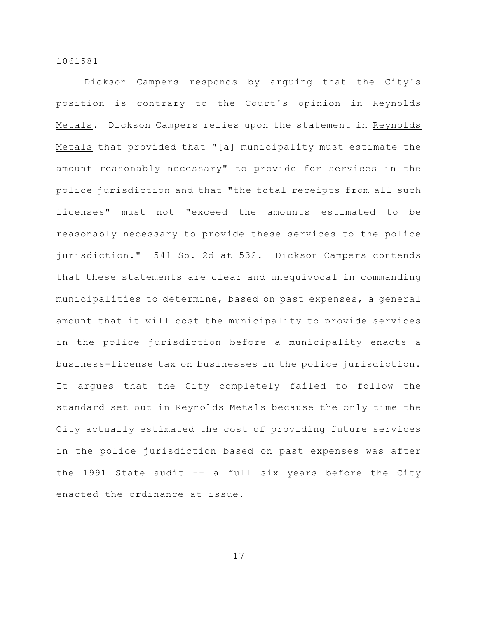Dickson Campers responds by arguing that the City's position is contrary to the Court's opinion in Reynolds Metals. Dickson Campers relies upon the statement in Reynolds Metals that provided that "[a] municipality must estimate the amount reasonably necessary" to provide for services in the police jurisdiction and that "the total receipts from all such licenses" must not "exceed the amounts estimated to be reasonably necessary to provide these services to the police jurisdiction." 541 So. 2d at 532. Dickson Campers contends that these statements are clear and unequivocal in commanding municipalities to determine, based on past expenses, a general amount that it will cost the municipality to provide services in the police jurisdiction before a municipality enacts a business-license tax on businesses in the police jurisdiction. It argues that the City completely failed to follow the standard set out in Reynolds Metals because the only time the City actually estimated the cost of providing future services in the police jurisdiction based on past expenses was after the 1991 State audit  $--$  a full six years before the City enacted the ordinance at issue.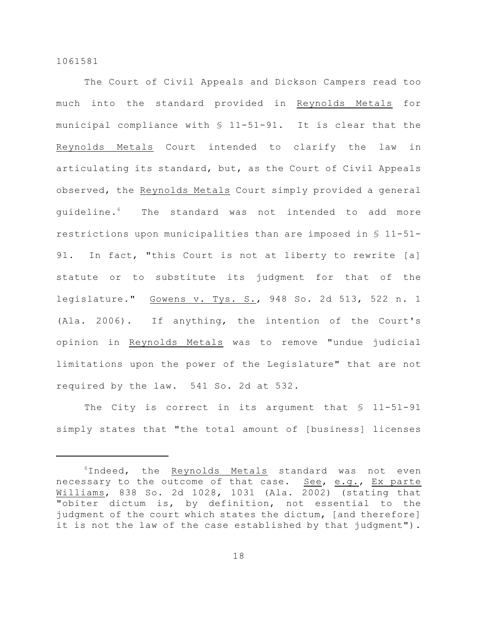The Court of Civil Appeals and Dickson Campers read too much into the standard provided in Reynolds Metals for municipal compliance with § 11-51-91. It is clear that the Reynolds Metals Court intended to clarify the law in articulating its standard, but, as the Court of Civil Appeals observed, the Reynolds Metals Court simply provided a general quideline.<sup>6</sup> The standard was not intended to add more restrictions upon municipalities than are imposed in § 11-51- 91. In fact, "this Court is not at liberty to rewrite [a] statute or to substitute its judgment for that of the legislature." Gowens v. Tys. S., 948 So. 2d 513, 522 n. 1 (Ala. 2006). If anything, the intention of the Court's opinion in Reynolds Metals was to remove "undue judicial limitations upon the power of the Legislature" that are not required by the law. 541 So. 2d at 532.

The City is correct in its argument that \$ 11-51-91 simply states that "the total amount of [business] licenses

 $6$ Indeed, the Reynolds Metals standard was not even necessary to the outcome of that case. See, e.g., Ex parte Williams, 838 So. 2d 1028, 1031 (Ala. 2002) (stating that "obiter dictum is, by definition, not essential to the judgment of the court which states the dictum, [and therefore] it is not the law of the case established by that judgment").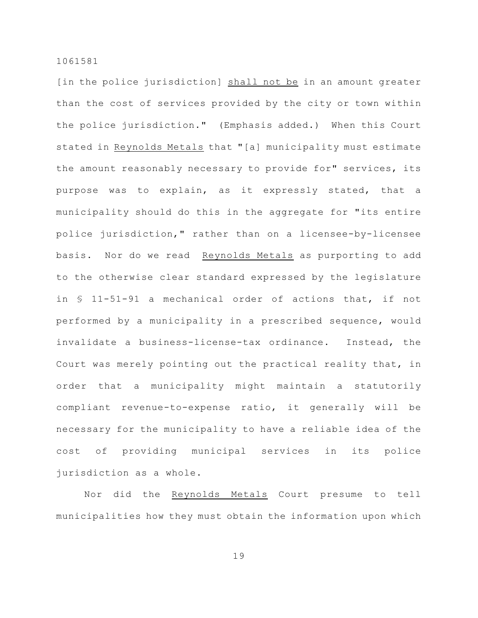[in the police jurisdiction] shall not be in an amount greater than the cost of services provided by the city or town within the police jurisdiction." (Emphasis added.) When this Court stated in Reynolds Metals that "[a] municipality must estimate the amount reasonably necessary to provide for" services, its purpose was to explain, as it expressly stated, that a municipality should do this in the aggregate for "its entire police jurisdiction," rather than on a licensee-by-licensee basis. Nor do we read Reynolds Metals as purporting to add to the otherwise clear standard expressed by the legislature in § 11-51-91 a mechanical order of actions that, if not performed by a municipality in a prescribed sequence, would invalidate a business-license-tax ordinance. Instead, the Court was merely pointing out the practical reality that, in order that a municipality might maintain a statutorily compliant revenue-to-expense ratio, it generally will be necessary for the municipality to have a reliable idea of the cost of providing municipal services in its police jurisdiction as a whole.

Nor did the Reynolds Metals Court presume to tell municipalities how they must obtain the information upon which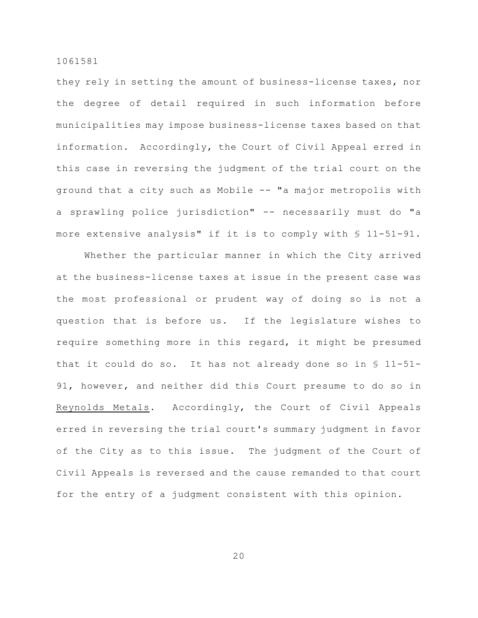they rely in setting the amount of business-license taxes, nor the degree of detail required in such information before municipalities may impose business-license taxes based on that information. Accordingly, the Court of Civil Appeal erred in this case in reversing the judgment of the trial court on the ground that a city such as Mobile -- "a major metropolis with a sprawling police jurisdiction" -- necessarily must do "a more extensive analysis" if it is to comply with § 11-51-91.

Whether the particular manner in which the City arrived at the business-license taxes at issue in the present case was the most professional or prudent way of doing so is not a question that is before us. If the legislature wishes to require something more in this regard, it might be presumed that it could do so. It has not already done so in § 11-51- 91, however, and neither did this Court presume to do so in Reynolds Metals. Accordingly, the Court of Civil Appeals erred in reversing the trial court's summary judgment in favor of the City as to this issue. The judgment of the Court of Civil Appeals is reversed and the cause remanded to that court for the entry of a judgment consistent with this opinion.